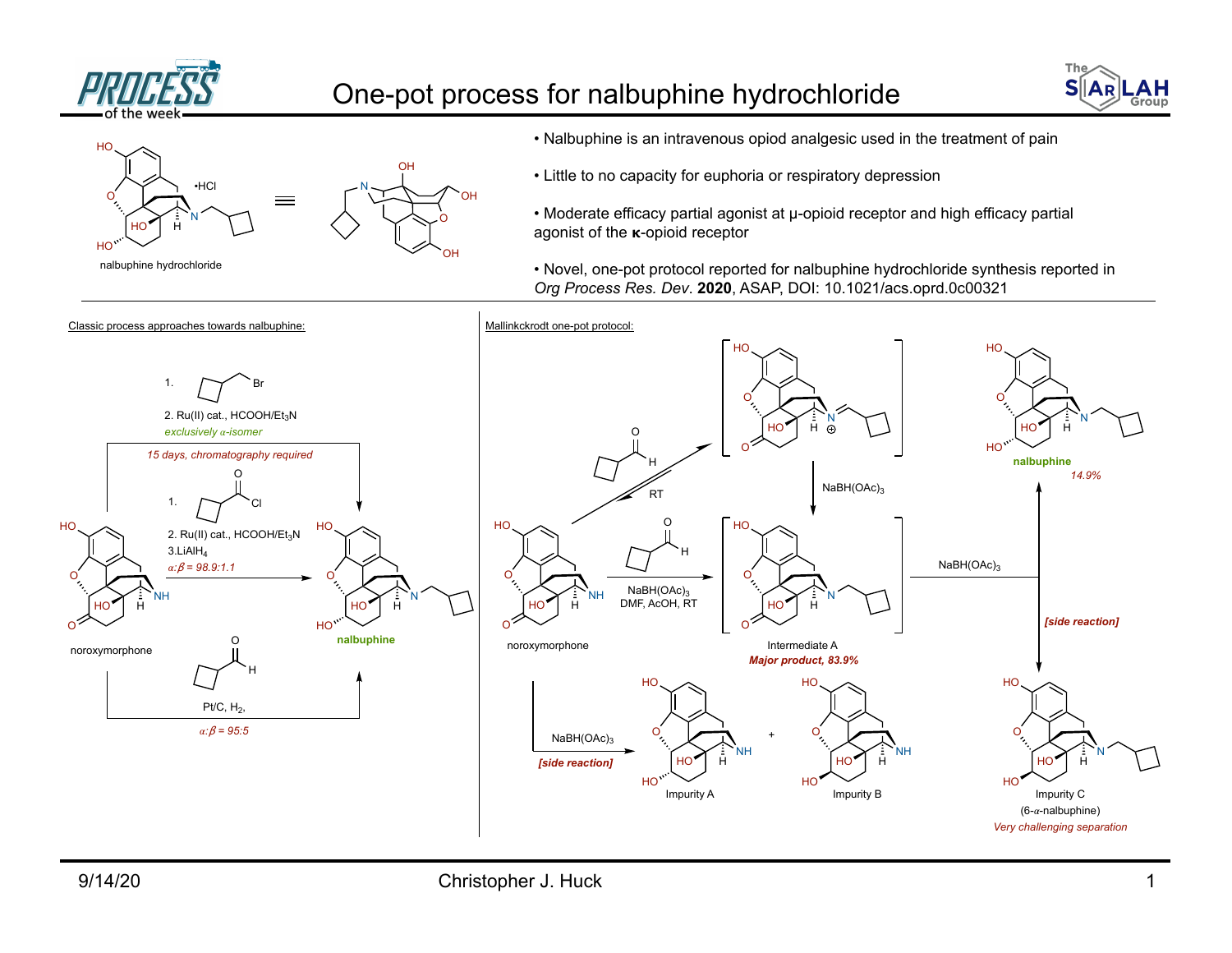

## One-pot process for nalbuphine hydrochloride





- Nalbuphine is an intravenous opiod analgesic used in the treatment of pain
- Little to no capacity for euphoria or respiratory depression

• Moderate efficacy partial agonist at µ-opioid receptor and high efficacy partial agonist of the  $\kappa$ -opioid receptor

• Novel, one-pot protocol reported for nalbuphine hydrochloride synthesis reported in *Org Process Res. Dev*. **2020**, ASAP, DOI: 10.1021/acs.oprd.0c00321

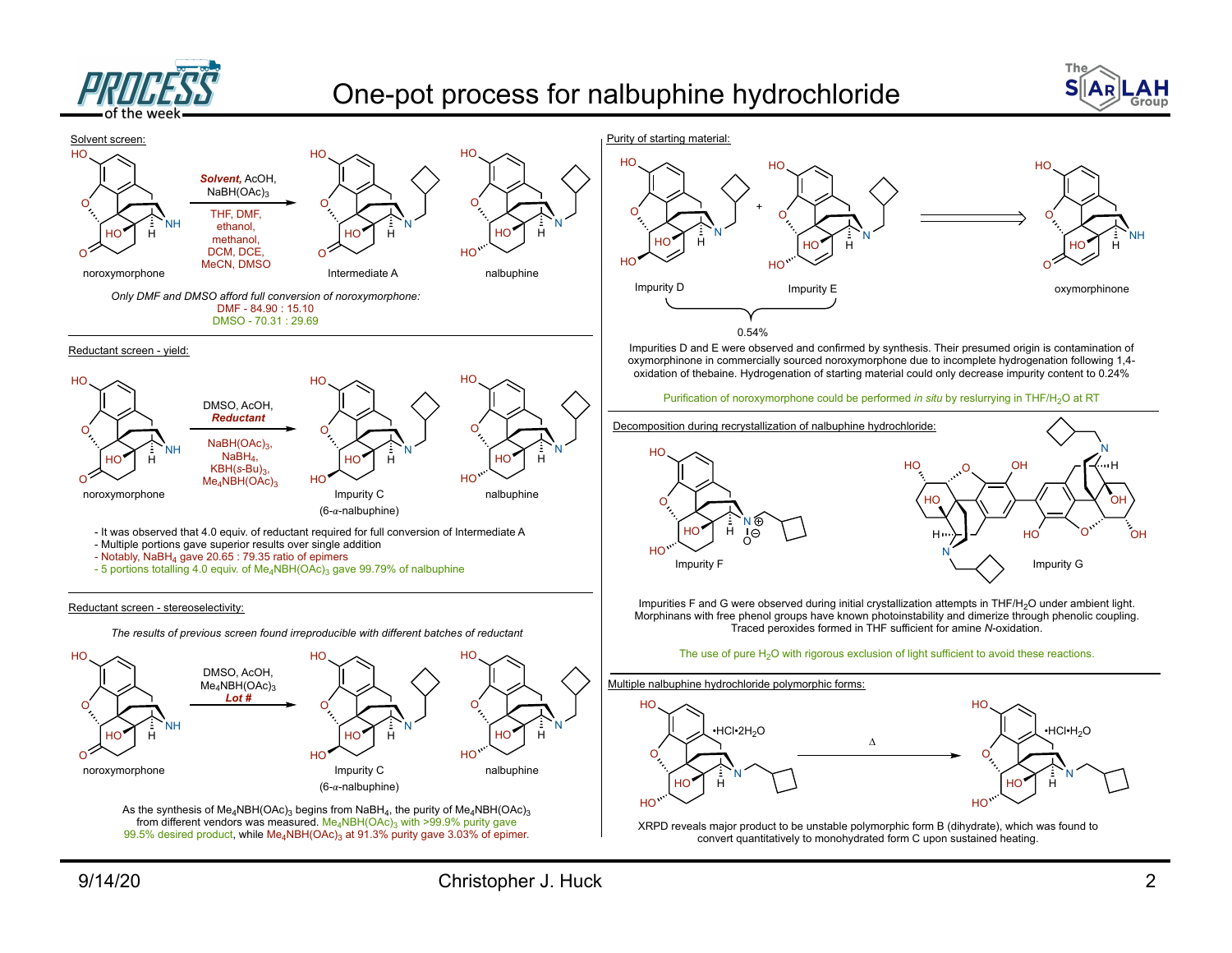

## One-pot process for nalbuphine hydrochloride



NH